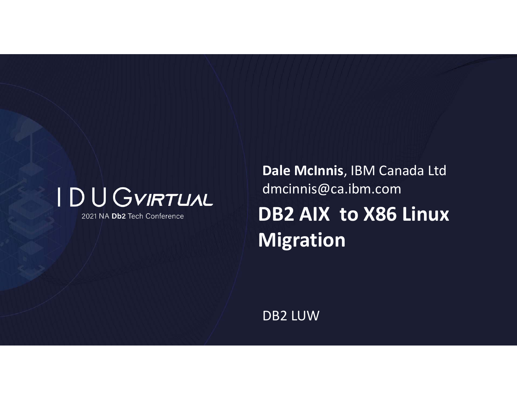

2021 NA Db2 Tech Conference

**DB2 AIX to X86 Linux Migration Dale McInnis**, IBM Canada Ltd dmcinnis@ca.ibm.com

DB2 LUW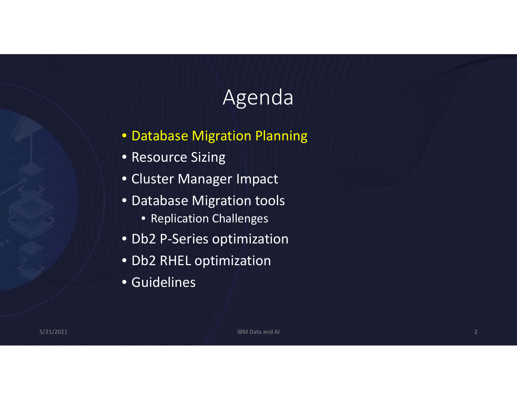# Agenda

- Database Migration Planning
- Resource Sizing
- Cluster Manager Impact
- Database Migration tools
	- Replication Challenges
- Db2 P‐Series optimization
- Db2 RHEL optimization
- Guidelines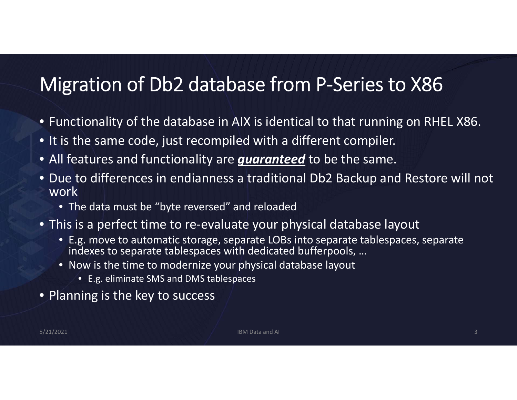#### Migration of Db2 database from P‐Series to X86

- Functionality of the database in AIX is identical to that running on RHEL X86.
- It is the same code, just recompiled with <sup>a</sup> different compiler.
- All features and functionality are *guaranteed* to be the same.
- Due to differences in endianness <sup>a</sup> traditional Db2 Backup and Restore will not work
	- The data must be "byte reversed" and reloaded
- This is a perfect time to re‐evaluate your physical database layout
	- E.g. move to automatic storage, separate LOBs into separate tablespaces, separate indexes to separate tablespaces with dedicated bufferpools, …
	- Now is the time to modernize your physical database layout
		- E.g. eliminate SMS and DMS tablespaces
- Planning is the key to success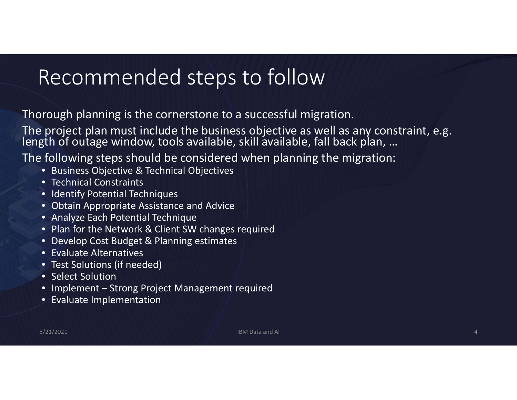## Recommended steps to follow

Thorough planning is the cornerstone to <sup>a</sup> successful migration.

The project plan must include the business objective as well as any constraint, e.g.<br>length of outage window, tools available, skill available, fall back plan, …

The following steps should be considered when planning the migration:

- Business Objective & Technical Objectives
- Technical Constraints
- Identify Potential Techniques
- Obtain Appropriate Assistance and Advice
- Analyze Each Potential Technique
- Plan for the Network & Client SW changes required
- Develop Cost Budget & Planning estimates
- Evaluate Alternatives
- Test Solutions (if needed)
- Select Solution
- Implement Strong Project Management required
- Evaluate Implementation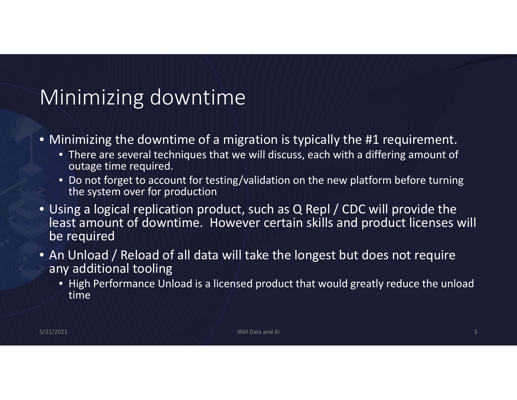# Minimizing downtime

- Minimizing the downtime of <sup>a</sup> migration is typically the #1 requirement.
	- There are several techniques that we will discuss, each with <sup>a</sup> differing amount of outage time required.
	- Do not forget to account for testing/validation on the new platform before turning the system over for production
- Using <sup>a</sup> logical replication product, such as Q Repl / CDC will provide the least amount of downtime. However certain skills and product licenses will be required
- An Unload / Reload of all data will take the longest but does not require any additional tooling
	- High Performance Unload is <sup>a</sup> licensed product that would greatly reduce the unload time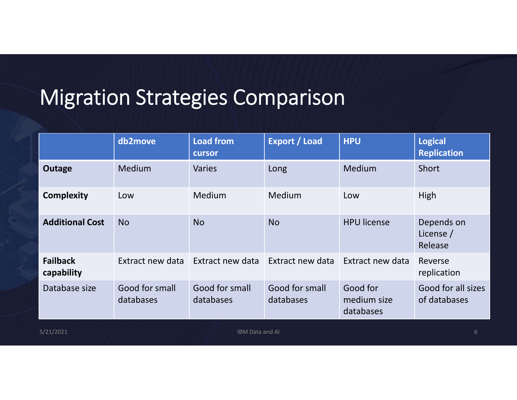# Migration Strategies Comparison

|                               | db2move                     | <b>Load from</b><br>cursor  | <b>Export / Load</b>        | <b>HPU</b>                           | <b>Logical</b><br><b>Replication</b> |
|-------------------------------|-----------------------------|-----------------------------|-----------------------------|--------------------------------------|--------------------------------------|
| <b>Outage</b>                 | Medium                      | <b>Varies</b>               | Long                        | Medium                               | Short                                |
| <b>Complexity</b>             | Low                         | <b>Medium</b>               | Medium                      | Low                                  | High                                 |
| <b>Additional Cost</b>        | <b>No</b>                   | <b>No</b>                   | <b>No</b>                   | <b>HPU license</b>                   | Depends on<br>License /<br>Release   |
| <b>Failback</b><br>capability | Extract new data            | Extract new data            | Extract new data            | Extract new data                     | Reverse<br>replication               |
| Database size                 | Good for small<br>databases | Good for small<br>databases | Good for small<br>databases | Good for<br>medium size<br>databases | Good for all sizes<br>of databases   |
| 5/21/2021                     |                             | <b>IBM Data and AI</b>      |                             |                                      | 6                                    |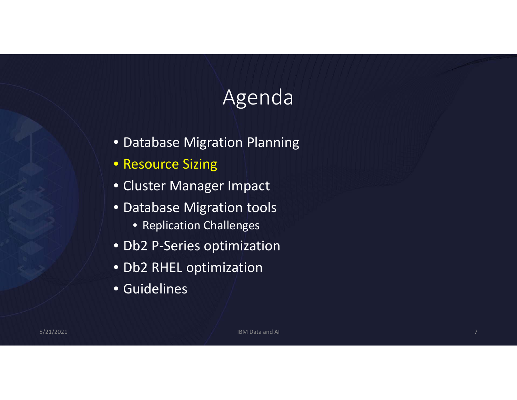# Agenda

- Database Migration Planning
- Resource Sizing
- Cluster Manager Impact
- Database Migration tools
	- Replication Challenges
- Db2 P‐Series optimization
- Db2 RHEL optimization
- Guidelines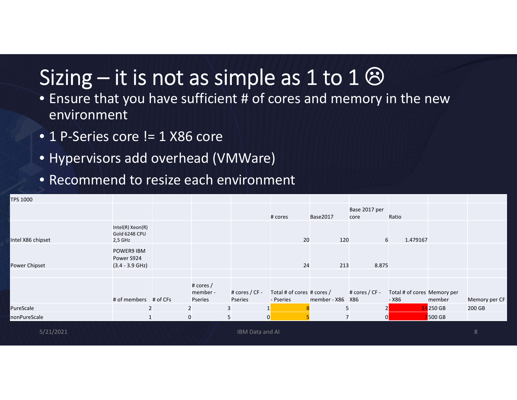# Sizing – it is not as simple as 1 to 1  $\odot$

- Ensure that you have sufficient # of cores and memory in the new environment
- 1 P‐Series core != 1 X86 core
- Hypervisors add overhead (VMWare)
- Recommend to resize each environment

| TPS 1000          |                                               |                |                                  |                           |                                         |                  |                       |                                      |               |               |
|-------------------|-----------------------------------------------|----------------|----------------------------------|---------------------------|-----------------------------------------|------------------|-----------------------|--------------------------------------|---------------|---------------|
|                   |                                               |                |                                  |                           | # cores                                 | Base2017         | Base 2017 per<br>core | Ratio                                |               |               |
| Intel X86 chipset | Intel(R) Xeon(R)<br>Gold 6248 CPU<br>2,5 GHz  |                |                                  |                           | 20                                      | 120              | 6                     | 1.479167                             |               |               |
| Power Chipset     | POWER9 IBM<br>Power S924<br>$(3.4 - 3.9$ GHz) |                |                                  |                           | 24                                      | 213              | 8.875                 |                                      |               |               |
|                   | # of members # of CFs                         |                | # cores /<br>member -<br>Pseries | # cores / CF -<br>Pseries | Total # of cores # cores /<br>- Pseries | member - X86 X86 | # cores / CF -        | Total # of cores Memory per<br>- X86 | member        | Memory per CF |
| PureScale         |                                               | $\overline{2}$ |                                  | 3                         |                                         | 5                | $\overline{2}$        |                                      | 14 250 GB     | 200 GB        |
| nonPureScale      |                                               | $\mathbf 0$    |                                  | 5                         | $\overline{0}$                          | $\overline{7}$   | 0                     |                                      | <b>500 GB</b> |               |
| 5/21/2021         |                                               |                |                                  | IBM Data and AI           |                                         |                  |                       |                                      |               | 8             |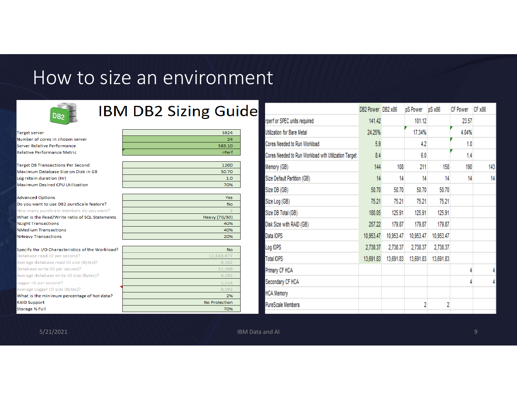#### How to size an environment



#### **IBM DB2 Sizing Guide**

70%

| <b>Target server</b>                             | S924          |
|--------------------------------------------------|---------------|
| Number of cores in chosen server                 | 24            |
| Server Relative Performance                      | 583.10        |
| <b>Relative Performance Metric</b>               | <b>rPerf</b>  |
|                                                  |               |
| <b>Target DB Transactions Per Second</b>         | 1200          |
| Maximum Database Size on Disk in GB              | 50.70         |
| Log retain duration (Hr)                         | 1.0           |
| Maximum Desired CPU Utilization                  | 70%           |
|                                                  |               |
| <b>Advanced Options</b>                          | Yes:          |
| Do you want to use DB2 pureScale feature?        | No.           |
| How many pureScale members do you want?          |               |
| What is the Read/Write ratio of SQL Statements   | Heavy (70/30) |
| %Light Transactions                              | 40%           |
| %Medium Transactions                             | 40%           |
| %Heavy Transactions                              | 20%           |
|                                                  |               |
| Specify the I/O Characteristics of the Workload? | No.           |
| Database read IO per second?                     | 12.688.877    |
| Average database read IO size (Bytes)?           | 8.192         |
| Database write IO per second?                    | 51.168        |
| Average database write IO size (Bytes)?          | 8,192         |
| Logger IO per second?                            | 1.216         |
| Average Logger IO size (Bytes)?                  | 8.192         |
| What is the minimum percentage of hot data?      | 2%            |
| <b>RAID Support</b>                              | No Protection |

|                                                     | DB2 Power DB2 x86 |           | pS Power  | pS x86    | <b>CF Power</b> | CF x86 |
|-----------------------------------------------------|-------------------|-----------|-----------|-----------|-----------------|--------|
| rperf or SPEC units required                        | 141.42            |           | 101.12    |           | 23.57           |        |
| Utilization for Bare Metal                          | 24.25%            |           | 17.34%    |           | 4.04%           |        |
| Cores Needed to Run Workload                        | 5.9               |           | 4.2       |           | 1.0             |        |
| Cores Needed to Run Workload wth Utilization Target | 8.4               |           | 6.0       |           | 1.4             |        |
| Memory (GB)                                         | 144               | 108       | 211       | 158       | 190             | 143    |
| Size Default Partition (GB)                         | 14                | 14        | 14        | 14        | 14              | 14     |
| Size DB (GB)                                        | 50.70             | 50.70     | 50.70     | 50.70     |                 |        |
| Size Log (GB)                                       | 75.21             | 75.21     | 75.21     | 75.21     |                 |        |
| Size DB Total (GB)                                  | 180.05            | 125.91    | 125.91    | 125.91    |                 |        |
| Disk Size with RAID (GB)                            | 257.22            | 179.87    | 179.87    | 179.87    |                 |        |
| Data IOPS                                           | 10,953.47         | 10,953.47 | 10,953.47 | 10,953.47 |                 |        |
| Log IOPS                                            | 2,738.37          | 2,738.37  | 2,738.37  | 2,738.37  |                 |        |
| <b>Total IOPS</b>                                   | 13,691.83         | 13,691.83 | 13,691.83 | 13,691.83 |                 |        |
| Primary CF HCA                                      |                   |           |           |           | 4               | 4      |
| Secondary CF HCA                                    |                   |           |           |           | 4               | 4      |
| <b>HCA Memory</b>                                   |                   |           |           |           |                 |        |
| PureScale Members                                   |                   |           | 2         | 2         |                 |        |
|                                                     |                   |           |           |           |                 |        |

Storage % Full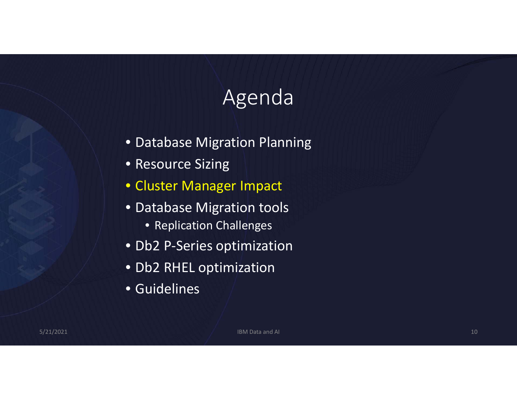# Agenda

- Database Migration Planning
- Resource Sizing
- Cluster Manager Impact
- Database Migration tools
	- Replication Challenges
- Db2 P‐Series optimization
- Db2 RHEL optimization
- Guidelines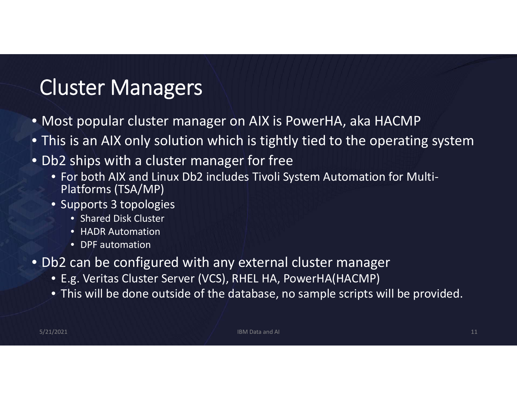# Cluster Managers

- Most popular cluster manager on AIX is PowerHA, aka HACMP
- This is an AIX only solution which is tightly tied to the operating system
- Db2 ships with <sup>a</sup> cluster manager for free
	- For both AIX and Linux Db2 includes Tivoli System Automation for Multi‐ Platforms (TSA/MP)
	- Supports 3 topologies
		- Shared Disk Cluster
		- HADR Automation
		- DPF automation
- Db2 can be configured with any external cluster manager
	- E.g. Veritas Cluster Server (VCS), RHEL HA, PowerHA(HACMP)
	- This will be done outside of the database, no sample scripts will be provided.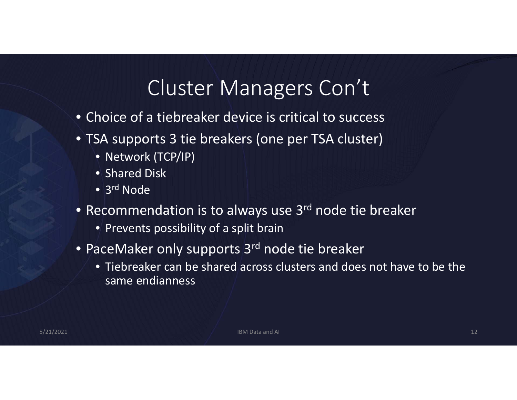#### Cluster Managers Con't

- Choice of <sup>a</sup> tiebreaker device is critical to success
- TSA supports 3 tie breakers (one per TSA cluster)
	- Network (TCP/IP)
	- Shared Disk
	- $\bullet$  3<sup>rd</sup> Node
- Recommendation is to always use 3<sup>rd</sup> node tie breaker
	- Prevents possibility of <sup>a</sup> split brain
- PaceMaker only supports 3<sup>rd</sup> node tie breaker
	- Tiebreaker can be shared across clusters and does not have to be the same endianness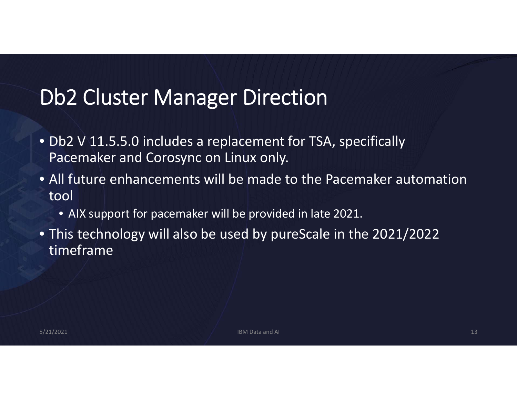### Db2 Cluster Manager Direction

- Db2 V 11.5.5.0 includes <sup>a</sup> replacement for TSA, specifically Pacemaker and Corosync on Linux only.
- All future enhancements will be made to the Pacemaker automation tool
	- AIX support for pacemaker will be provided in late 2021.
- This technology will also be used by pureScale in the 2021/2022 timeframe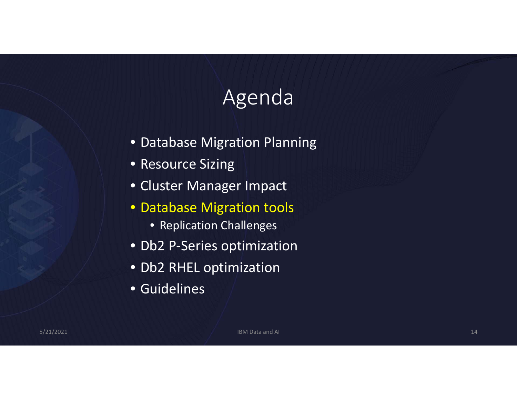# Agenda

- Database Migration Planning
- Resource Sizing
- Cluster Manager Impact
- Database Migration tools
	- Replication Challenges
- Db2 P‐Series optimization
- Db2 RHEL optimization
- Guidelines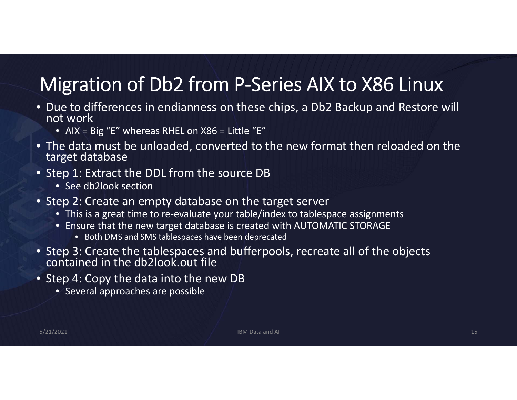## Migration of Db2 from P‐Series AIX to X86 Linux

- Due to differences in endianness on these chips, <sup>a</sup> Db2 Backup and Restore will not work
	- AIX <sup>=</sup> Big "E" whereas RHEL on X86 <sup>=</sup> Little "E"
- The data must be unloaded, converted to the new format then reloaded on the target database
- Step 1: Extract the DDL from the source DB
	- See db2look section
- Step 2: Create an empty database on the target server
	- This is a great time to re‐evaluate your table/index to tablespace assignments
	- Ensure that the new target database is created with AUTOMATIC STORAGE
		- Both DMS and SMS tablespaces have been deprecated
- Step 3: Create the tablespaces and bufferpools, recreate all of the objects<br>contained in the db2look.out file
- Step 4: Copy the data into the new DB
	- Several approaches are possible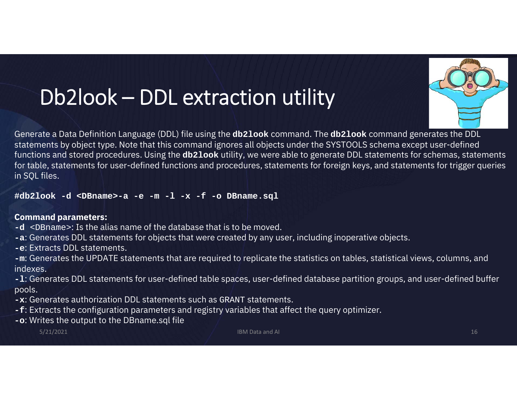# Db2look – DDL extraction utility



Generate a Data Definition Language (DDL) file using the **db2look** command. The **db2look** command generates the DDL statements by object type. Note that this command ignores all objects under the SYSTOOLS schema except user-defined functions and stored procedures. Using the **db2look** utility, we were able to generate DDL statements for schemas, statements for table, statements for user-defined functions and procedures, statements for foreign keys, and statements for trigger queries in SQL files.

**#db2look -d <DBname>-a -e -m -l -x -f -o DBname.sql**

#### **Command parameters:**

- **-d** <DBname>: Is the alias name of the database that is to be moved.
- **-a**: Generates DDL statements for objects that were created by any user, including inoperative objects.
- **-e**: Extracts DDL statements.
- **-m**: Generates the UPDATE statements that are required to replicate the statistics on tables, statistical views, columns, and indexes.
- **-l**: Generates DDL statements for user-defined table spaces, user-defined database partition groups, and user-defined buffer pools.
- **-x**: Generates authorization DDL statements such as GRANT statements.
- **-f**: Extracts the configuration parameters and registry variables that affect the query optimizer.
- **-o**: Writes the output to the DBname.sql file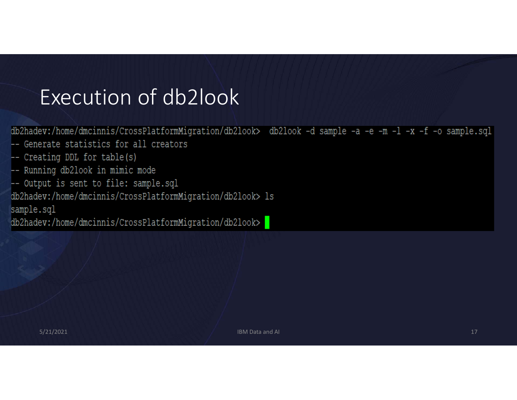## Execution of db2look

db2hadev:/home/dmcinnis/CrossPlatformMigration/db2look> db2look -d sample -a -e -m -l -x -f -o sample.sql

- -- Generate statistics for all creators
- -- Creating DDL for table(s)
- -- Running db2look in mimic mode
- -- Output is sent to file: sample.sql

db2hadev:/home/dmcinnis/CrossPlatformMigration/db2look> ls sample.sql

db2hadev:/home/dmcinnis/CrossPlatformMigration/db2look>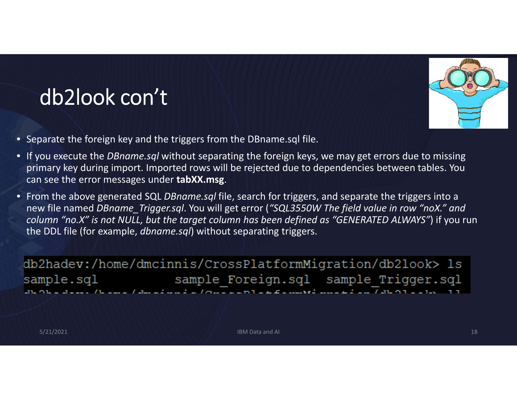

# db2look con't

- Separate the foreign key and the triggers from the DBname.sql file.
- If you execute the *DBname.sql* without separating the foreign keys, we may get errors due to missing primary key during import. Imported rows will be rejected due to dependencies between tables. You can see the error messages under **tabXX.msg**.
- From the above generated SQL *DBname.sql* file, search for triggers, and separate the triggers into <sup>a</sup> new file named *DBname\_Trigger.sql*. You will get error (*"SQL3550W The field value in row "noX." and column "no.X" is not NULL, but the target column has been defined as "GENERATED ALWAYS"*) if you run the DDL file (for example, *dbname.sql*) without separating triggers.

db2hadev:/home/dmcinnis/CrossPlatformMigration/db2look> ls sample Foreign.sql sample Trigger.sql sample.sql  $\overline{a}$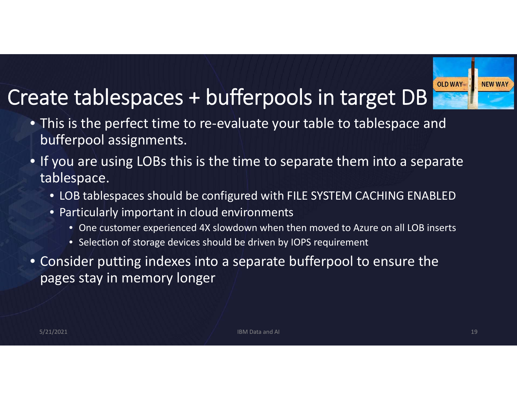# Create tablespaces <sup>+</sup> bufferpools in target DB



- This is the perfect time to re‐evaluate your table to tablespace and bufferpool assignments.
- If you are using LOBs this is the time to separate them into <sup>a</sup> separate tablespace.
	- LOB tablespaces should be configured with FILE SYSTEM CACHING ENABLED
	- Particularly important in cloud environments
		- One customer experienced 4X slowdown when then moved to Azure on all LOB inserts
		- Selection of storage devices should be driven by IOPS requirement
- Consider putting indexes into <sup>a</sup> separate bufferpool to ensure the pages stay in memory longer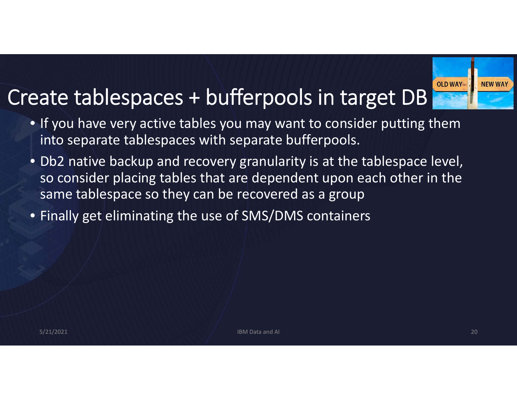# Create tablespaces <sup>+</sup> bufferpools in target DB



- If you have very active tables you may want to consider putting them into separate tablespaces with separate bufferpools.
- Db2 native backup and recovery granularity is at the tablespace level, so consider placing tables that are dependent upon each other in the same tablespace so they can be recovered as <sup>a</sup> group
- Finally get eliminating the use of SMS/DMS containers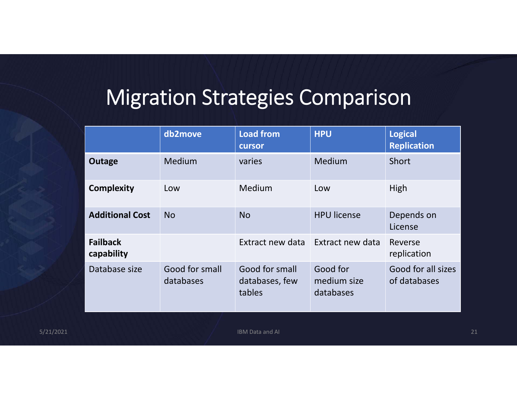# Migration Strategies Comparison

|                               | db2move                     | <b>Load from</b><br>cursor                 | <b>HPU</b>                           | <b>Logical</b><br><b>Replication</b> |
|-------------------------------|-----------------------------|--------------------------------------------|--------------------------------------|--------------------------------------|
| Outage                        | <b>Medium</b>               | varies                                     | Medium                               | Short                                |
| <b>Complexity</b>             | Low                         | Medium                                     | Low                                  | High                                 |
| <b>Additional Cost</b>        | <b>No</b>                   | <b>No</b>                                  | <b>HPU license</b>                   | Depends on<br>License                |
| <b>Failback</b><br>capability |                             | Extract new data                           | Extract new data                     | Reverse<br>replication               |
| Database size                 | Good for small<br>databases | Good for small<br>databases, few<br>tables | Good for<br>medium size<br>databases | Good for all sizes<br>of databases   |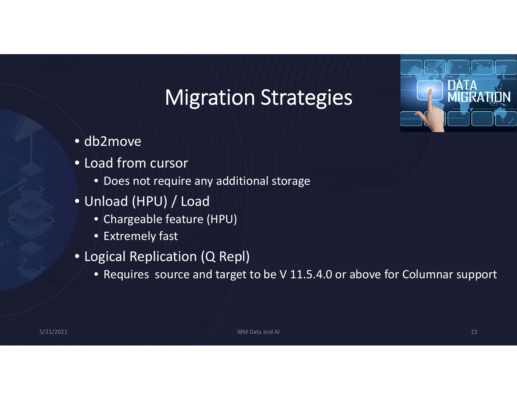# Migration Strategies



- db2move
- Load from cursor
	- Does not require any additional storage
- Unload (HPU) / Load
	- Chargeable feature (HPU)
	- Extremely fast
- Logical Replication (Q Repl)
	- Requires source and target to be V 11.5.4.0 or above for Columnar support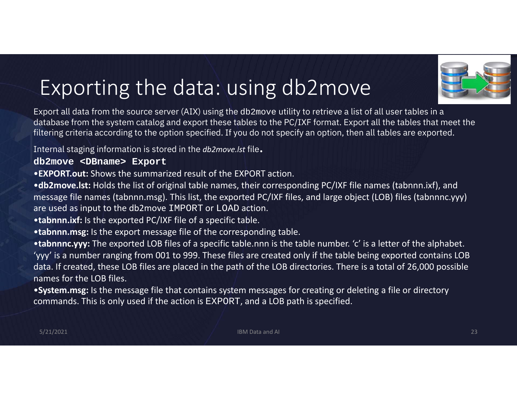# Exporting the data: using db2move

Export all data from the source server (AIX) using the db2move utility to retrieve a list of all user tables in a database from the system catalog and export these tables to the PC/IXF format. Export all the tables that meet the filtering criteria according to the option specified. If you do not specify an option, then all tables are exported.

Internal staging information is stored in the *db2move.lst* file.

#### **db2move <DBname> Export**

•**EXPORT.out:** Shows the summarized result of the EXPORT action.

•**db2move.lst:** Holds the list of original table names, their corresponding PC/IXF file names (tabnnn.ixf), and message file names (tabnnn.msg). This list, the exported PC/IXF files, and large object (LOB) files (tabnnnc.yyy) are used as input to the db2move IMPORT or LOAD action.

•**tabnnn.ixf:** Is the exported PC/IXF file of <sup>a</sup> specific table.

•**tabnnn.msg:** Is the export message file of the corresponding table.

•**tabnnnc.yyy:** The exported LOB files of <sup>a</sup> specific table.nnn is the table number. 'c' is <sup>a</sup> letter of the alphabet. 'yyy' is <sup>a</sup> number ranging from 001 to 999. These files are created only if the table being exported contains LOB data. If created, these LOB files are placed in the path of the LOB directories. There is <sup>a</sup> total of 26,000 possible names for the LOB files.

•**System.msg:** Is the message file that contains system messages for creating or deleting <sup>a</sup> file or directory commands. This is only used if the action is EXPORT, and <sup>a</sup> LOB path is specified.

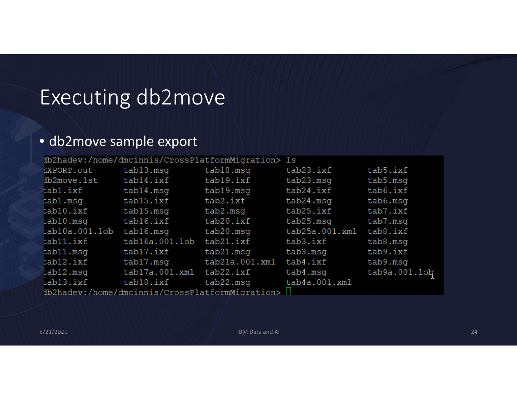# Executing db2move

#### • db2move sample export

|                                                 |                | ib2hadev:/home/dmcinnis/CrossPlatformMigration> ls |                |               |  |  |  |
|-------------------------------------------------|----------------|----------------------------------------------------|----------------|---------------|--|--|--|
| EXPORT.out                                      | tab13.msq      | tab18.msq                                          | tab23.ixf      | tab5.ixf      |  |  |  |
| ib2move.lst                                     | tab14.ixf      | tab19.ixf                                          | tab23.msq      | tab5.msq      |  |  |  |
| tabl.ixf                                        | tab14.msq      | tab19.msq                                          | tab24.ixf      | tab6.ixf      |  |  |  |
| tab1.msq                                        | tab15.ixf      | tab2.ixf                                           | tab24.msq      | tab6.msq      |  |  |  |
| tab10.ixf                                       | tab15.msq      | tab2.msq                                           | tab25.ixf      | tab7.ixf      |  |  |  |
| tab10.msq                                       | tab16.ixf      | tab20.ixf                                          | tab25.msq      | tab7.msq      |  |  |  |
| tab10a.001.1ob                                  | tab16.msq      | tab20.msg                                          | tab25a.001.xml | tab8.ixf      |  |  |  |
| tab11.ixf                                       | tab16a.001.lob | tab21.ixf                                          | tab3.ixf       | tab8.msq      |  |  |  |
| tab11.msq                                       | tab17.ixf      | tab21.msq                                          | tab3.msq       | tab9.ixf      |  |  |  |
| tab12.ixf                                       | tab17.msq      | tab21a.001.xml                                     | tab4.ixf       | tab9.msq      |  |  |  |
| tab12.msq                                       | tab17a.001.xml | tab22.ixf                                          | tab4.msq       | tab9a.001.1ob |  |  |  |
| tab13.ixf                                       | tab18.ixf      | tab22.msq                                          | tab4a.001.xml  |               |  |  |  |
| db2hadev:/home/dmcinnis/CrossPlatformMigration> |                |                                                    |                |               |  |  |  |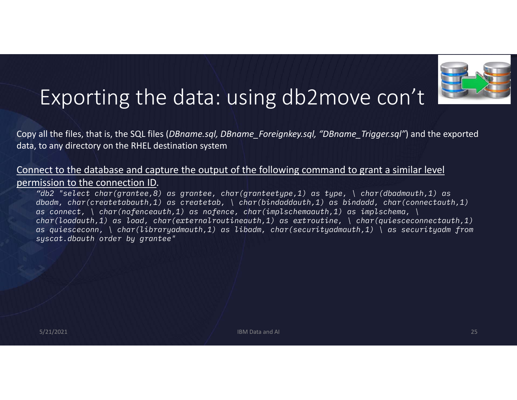

### Exporting the data: using db2move con't

Copy all the files, that is, the SQL files (*DBname.sql, DBname\_Foreignkey.sql, "DBname\_Trigger.sql"*) and the exported data, to any directory on the RHEL destination system

#### Connect to the database and capture the output of the following command to grant <sup>a</sup> similar level permission to the connection ID.

*"db2 "select char(grantee,8) as grantee, char(granteetype,1) as type, \ char(dbadmauth,1) as dbadm, char(createtabauth,1) as createtab, \ char(bindaddauth,1) as bindadd, char(connectauth,1) as connect, \ char(nofenceauth,1) as nofence, char(implschemaauth,1) as implschema, \ char(loadauth,1) as load, char(externalroutineauth,1) as extroutine, \ char(quiesceconnectauth,1) as quiesceconn, \ char(libraryadmauth,1) as libadm, char(securityadmauth,1) \ as securityadm from syscat.dbauth order by grantee"*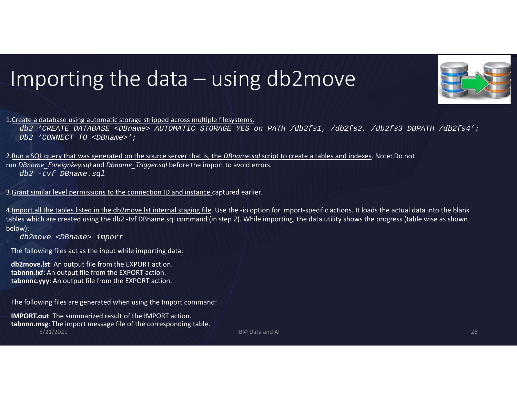# Importing the data – using db2move



1.Create <sup>a</sup> database using automatic storage stripped across multiple filesystems.

*db2 'CREATE DATABASE <DBname> AUTOMATIC STORAGE YES on PATH /db2fs1, /db2fs2, /db2fs3 DBPATH /db2fs4'; Db2 'CONNECT TO <DBname>';*

2.Run <sup>a</sup> SQL query that was generated on the source server that is, the *DBname.sql* script to create <sup>a</sup> tables and indexes. Note: Do not run *DBname\_Foreignkey.sql* and *Dbname\_Trigger.sql* before the import to avoid errors. *db2 -tvf DBname.sql*

3.<u>Grant similar level permissions to the connection ID and instance c</u>aptured earlier.

4.Import all the tables listed in the db2move.lst internal staging file. Use the ‐io option for import‐specific actions. It loads the actual data into the blank tables which are created using the db2 ‐tvf DBname.sql command (in step 2). While importing, the data utility shows the progress (table wise as shown below):

*db2move <DBname> import*

The following files act as the input while importing data:

**db2move.lst**: An output file from the EXPORT action. **tabnnn.ixf**: An output file from the EXPORT action. **tabnnnc.yyy**: An output file from the EXPORT action.

The following files are generated when using the Import command:

**IMPORT.out**: The summarized result of the IMPORT action. **tabnnn.msg**: The import message file of the corresponding table. 5/21/2021 IBM Data and AI 26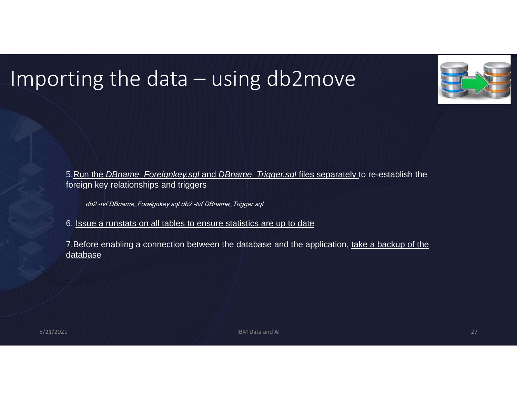## Importing the data – using db2move



5.Run the *DBname\_Foreignkey.sql* and *DBname\_Trigger.sql* files separately to re-establish the foreign key relationships and triggers

db2 -tvf DBname\_Foreignkey.sql db2 -tvf DBname\_Trigger.sql

6. Issue a runstats on all tables to ensure statistics are up to date

7. Before enabling a connection between the database and the application, take a backup of the database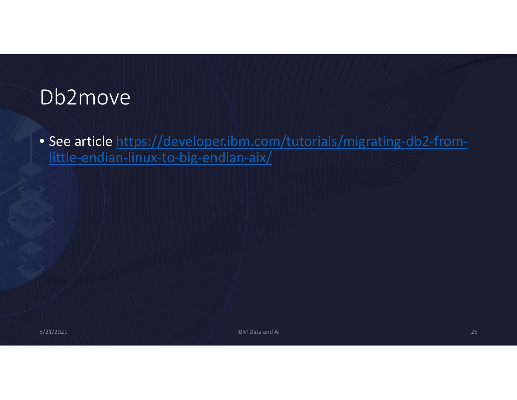#### Db2move

• See article https://developer.ibm.com/tutorials/migrating-db2-fromlittle-endian-linux-to-big-endian-aix/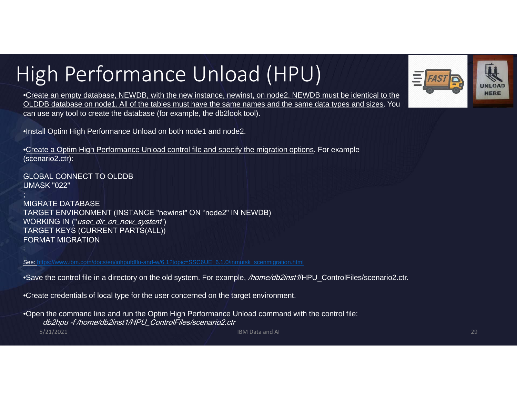# High Performance Unload (HPU)



•Create an empty database, NEWDB, with the new instance, newinst, on node2. NEWDB must be identical to the OLDDB database on node1. All of the tables must have the same names and the same data types and sizes. You can use any tool to create the database (for example, the db2look tool).

•Install Optim High Performance Unload on both node1 and node2.

•Create a Optim High Performance Unload control file and specify the migration options. For example (scenario2.ctr):

GLOBAL CONNECT TO OLDDB UMASK "022"

;

;

MIGRATE DATABASE TARGET ENVIRONMENT (INSTANCE "newinst" ON "node2" IN NEWDB) WORKING IN ("user\_dir\_on\_new\_system") TARGET KEYS (CURRENT PARTS(ALL)) FORMAT MIGRATION

See: https://www.ibm.com/docs/en/iohpufdflu-and-w/6.1?topic=SSC6UE\_6.1.0/inmutsk\_scenmigration.html

•Save the control file in a directory on the old system. For example, */home/db2inst1*/HPU\_ControlFiles/scenario2.ctr.

•Create credentials of local type for the user concerned on the target environment.

5/21/2021 IBM Data and AI 29 •Open the command line and run the Optim High Performance Unload command with the control file: db2hpu -f /home/db2inst1/HPU\_ControlFiles/scenario2.ctr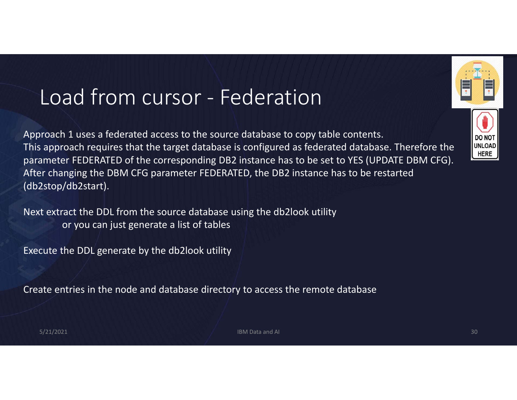### Load from cursor ‐ Federation

Approach 1 uses <sup>a</sup> federated access to the source database to copy table contents. This approach requires that the target database is configured as federated database. Therefore the parameter FEDERATED of the corresponding DB2 instance has to be set to YES (UPDATE DBM CFG). After changing the DBM CFG parameter FEDERATED, the DB2 instance has to be restarted (db2stop/db2start).

Next extract the DDL from the source database using the db2look utility or you can just generate <sup>a</sup> list of tables

Execute the DDL generate by the db2look utility

Create entries in the node and database directory to access the remote database

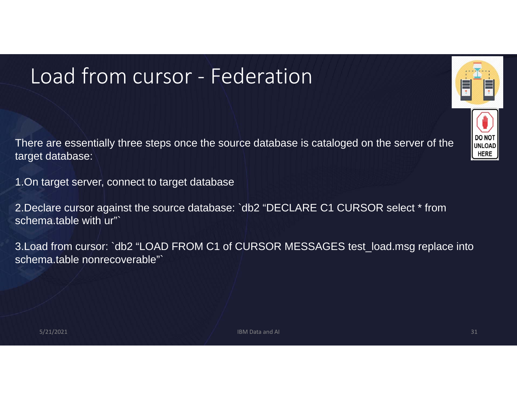# Load from cursor ‐ Federation

There are essentially three steps once the source database is cataloged on the server of the target database:

1.On target server, connect to target database

2.Declare cursor against the source database: `db2 "DECLARE C1 CURSOR select \* from schema.table with ur"

3.Load from cursor: `db2 "LOAD FROM C1 of CURSOR MESSAGES test\_load.msg replace into schema.table nonrecoverable"`

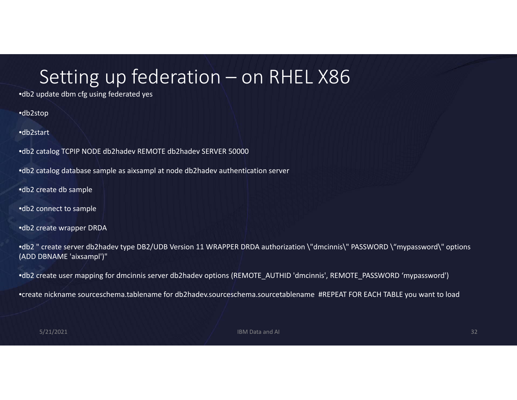#### Setting up federation – on RHEL X86

•db2 update dbm cfg using federated yes

•db2stop

•db2start

•db2 catalog TCPIP NODE db2hadev REMOTE db2hadev SERVER 50000

•db2 catalog database sample as aixsampl at node db2hadev authentication server

•db2 create db sample

•db2 connect to sample

•db2 create wrapper DRDA

•db2 " create server db2hadev type DB2/UDB Version 11 WRAPPER DRDA authorization \"dmcinnis\" PASSWORD \"mypassword\" options (ADD DBNAME 'aixsampl')"

•db2 create user mapping for dmcinnis server db2hadev options (REMOTE\_AUTHID 'dmcinnis', REMOTE\_PASSWORD 'mypassword')

•create nickname sourceschema.tablename for db2hadev.sourceschema.sourcetablename #REPEAT FOR EACH TABLE you want to load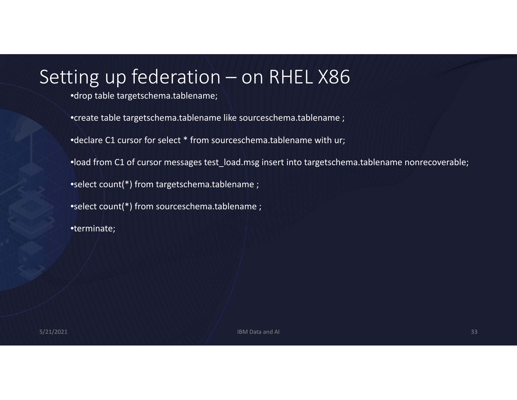#### Setting up federation – on RHEL X86

•drop table targetschema.tablename;

•create table targetschema.tablename like sourceschema.tablename ;

•declare C1 cursor for select \* from sourceschema.tablename with ur;

•load from C1 of cursor messages test\_load.msg insert into targetschema.tablename nonrecoverable;

•select count(\*) from targetschema.tablename ;

•select count(\*) from sourceschema.tablename ;

•terminate;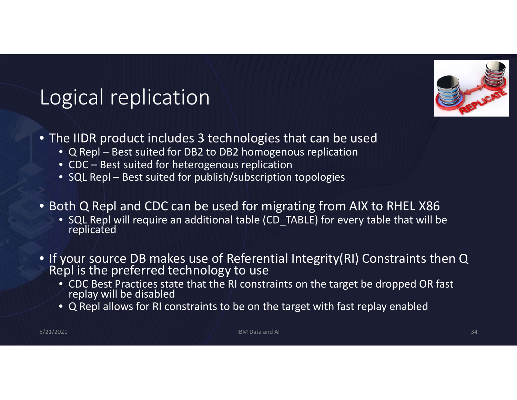

## Logical replication

- The IIDR product includes 3 technologies that can be used
	- Q Repl Best suited for DB2 to DB2 homogenous replication
	- CDC Best suited for heterogenous replication
	- SQL Repl Best suited for publish/subscription topologies
- Both Q Repl and CDC can be used for migrating from AIX to RHEL X86
	- SQL Repl will require an additional table (CD\_TABLE) for every table that will be replicated
- If your source DB makes use of Referential Integrity(RI) Constraints then Q<br>Repl is the preferred technology to use
	- CDC Best Practices state that the RI constraints on the target be dropped OR fast replay will be disabled
	- Q Repl allows for RI constraints to be on the target with fast replay enabled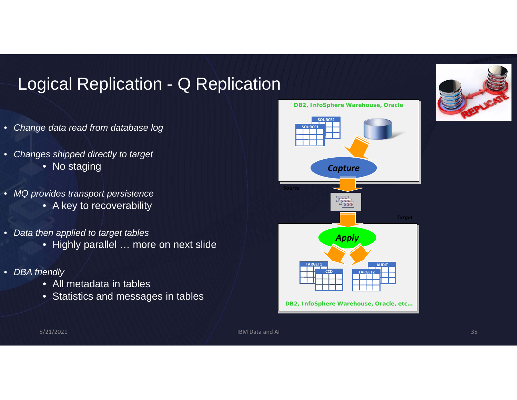#### Logical Replication - Q Replication

- *Change data read from database log*
- $\bullet$  *Changes shipped directly to target* • No staging
- *MQ provides transport persistence*
	- A key to recoverability
- *Data then applied to target tables*
	- Highly parallel … more on next slide
- *DBA friendly*
	- All metadata in tables
	- Statistics and messages in tables



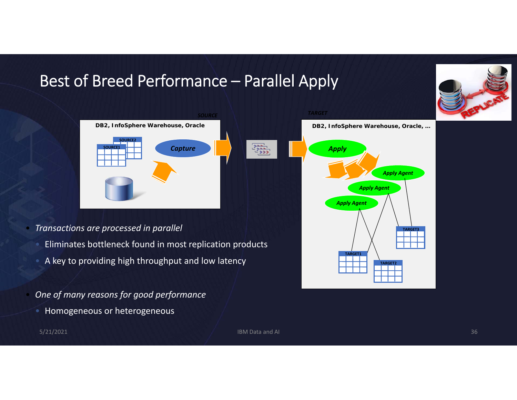#### Best of Breed Performance – Parallel Apply

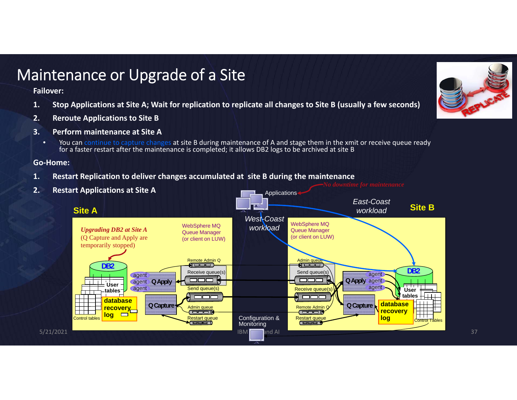#### Maintenance or Upgrade of <sup>a</sup> Site

**Failover:**

- 1. Stop Applications at Site A; Wait for replication to replicate all changes to Site B (usually a few seconds)
- **2. Reroute Applications to Site B**
- **3. Perform maintenance at Site A**
	- •**•** You can continue to capture changes at site B during maintenance of A and stage them in the xmit or receive queue ready for a faster restart after the maintenance is completed; it allows DB2 logs to be archived at site B

**Go‐Home:**

**1. Restart Replication to deliver changes accumulated at site B during the maintenance**



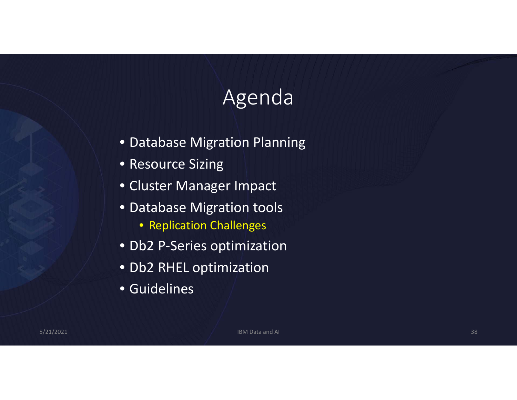# Agenda

- Database Migration Planning
- Resource Sizing
- Cluster Manager Impact
- Database Migration tools
	- Replication Challenges
- Db2 P‐Series optimization
- Db2 RHEL optimization
- Guidelines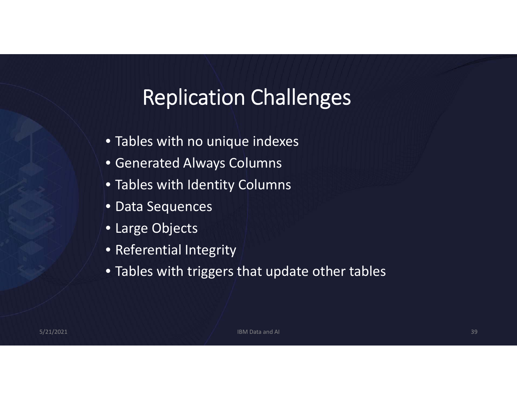# Replication Challenges

- Tables with no unique indexes
- Generated Always Columns
- Tables with Identity Columns
- Data Sequences
- Large Objects
- Referential Integrity
- Tables with triggers that update other tables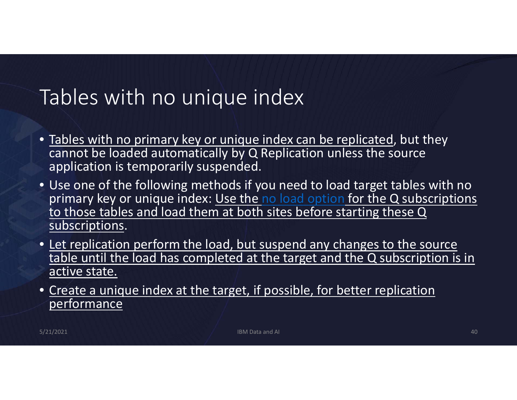#### Tables with no unique index

- Tables with no primary key or unique index can be replicated, but they cannot be loaded automatically by Q Replication unless the source application is temporarily suspended.
- Use one of the following methods if you need to load target tables with no primary key or unique index: Use the no load option for the Q subscriptions to those tables and load them at both sites before starting these Q subscriptions.
- Let replication perform the load, but suspend any changes to the source table until the load has completed at the target and the Q subscription is in active state.
- Create <sup>a</sup> unique index at the target, if possible, for better replication performance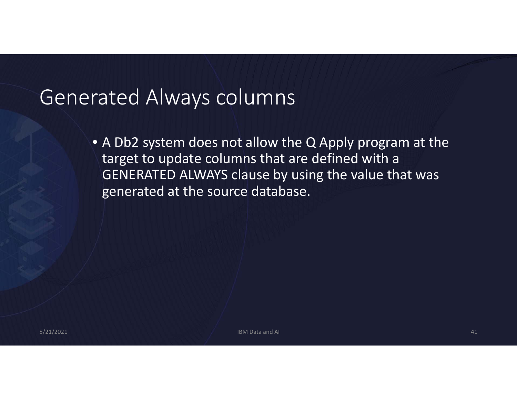#### Generated Always columns

• A Db2 system does not allow the Q Apply program at the target to update columns that are defined with <sup>a</sup> GENERATED ALWAYS clause by using the value that was generated at the source database.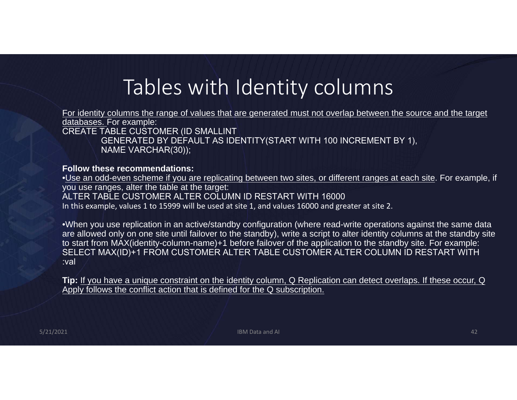# Tables with Identity columns

For identity columns the range of values that are generated must not overlap between the source and the target databases. For example: CREATE TABLE CUSTOMER (ID SMALLINT GENERATED BY DEFAULT AS IDENTITY(START WITH 100 INCREMENT BY 1),

NAME VARCHAR(30));

#### **Follow these recommendations:**

•Use an odd-even scheme if you are replicating between two sites, or different ranges at each site. For example, if you use ranges, alter the table at the target: ALTER TABLE CUSTOMER ALTER COLUMN ID RESTART WITH 16000In this example, values 1 to 15999 will be used at site 1, and values 16000 and greater at site 2.

•When you use replication in an active/standby configuration (where read-write operations against the same data are allowed only on one site until failover to the standby), write a script to alter identity columns at the standby site to start from MAX(identity-column-name)+1 before failover of the application to the standby site. For example: SELECT MAX(ID)+1 FROM CUSTOMER ALTER TABLE CUSTOMER ALTER COLUMN ID RESTART WITH :val

**Tip:** If you have a unique constraint on the identity column, Q Replication can detect overlaps. If these occur, Q Apply follows the conflict action that is defined for the Q subscription.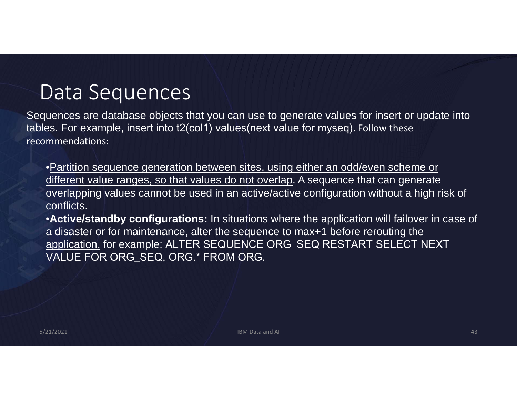#### Data Sequences

Sequences are database objects that you can use to generate values for insert or update into tables. For example, insert into t2(col1) values(next value for myseq). Follow these recommendations:

•Partition sequence generation between sites, using either an odd/even scheme or different value ranges, so that values do not overlap. A sequence that can generate overlapping values cannot be used in an active/active configuration without a high risk of conflicts.

•**Active/standby configurations:** In situations where the application will failover in case of a disaster or for maintenance, alter the sequence to max+1 before rerouting the application, for example: ALTER SEQUENCE ORG\_SEQ RESTART SELECT NEXT VALUE FOR ORG\_SEQ, ORG.\* FROM ORG.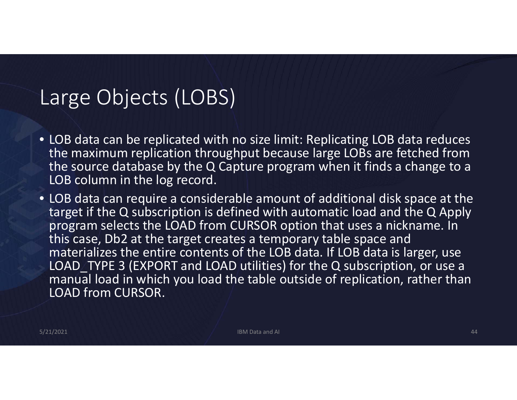#### Large Objects (LOBS)

- LOB data can be replicated with no size limit: Replicating LOB data reduces the maximum replication throughput because large LOBs are fetched from the source database by the Q Capture program when it finds <sup>a</sup> change to <sup>a</sup> LOB column in the log record.
- LOB data can require <sup>a</sup> considerable amount of additional disk space at the target if the Q subscription is defined with automatic load and the Q Apply program selects the LOAD from CURSOR option that uses <sup>a</sup> nickname. In this case, Db2 at the target creates <sup>a</sup> temporary table space and materializes the entire contents of the LOB data. If LOB data is larger, use LOAD TYPE 3 (EXPORT and LOAD utilities) for the Q subscription, or use a manual load in which you load the table outside of replication, rather than LOAD from CURSOR.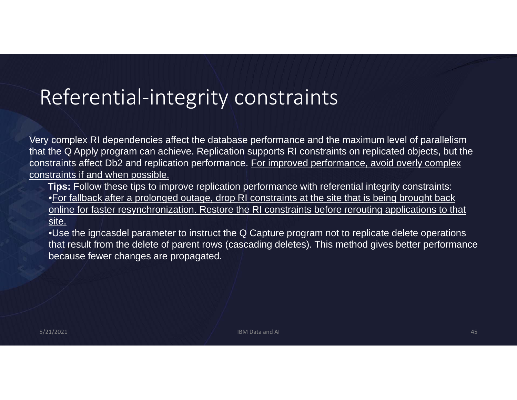#### Referential‐integrity constraints

Very complex RI dependencies affect the database performance and the maximum level of parallelism that the Q Apply program can achieve. Replication supports RI constraints on replicated objects, but the constraints affect Db2 and replication performance. For improved performance, avoid overly complex constraints if and when possible.

**Tips:** Follow these tips to improve replication performance with referential integrity constraints: •For fallback after a prolonged outage, drop RI constraints at the site that is being brought back online for faster resynchronization. Restore the RI constraints before rerouting applications to that site.

•Use the igncasdel parameter to instruct the Q Capture program not to replicate delete operations that result from the delete of parent rows (cascading deletes). This method gives better performance because fewer changes are propagated.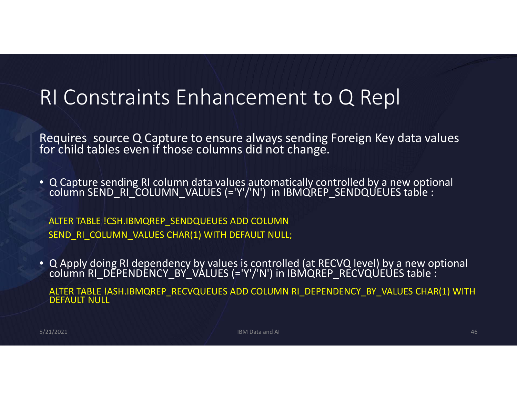#### RI Constraints Enhancement to Q Repl

Requires source Q Capture to ensure always sending Foreign Key data values<br>for child tables even if those columns did not change.

• <sup>Q</sup> Capture sending RI column data values automatically controlled by <sup>a</sup> new optional column SEND\_RI\_COLUMN\_VALUES (='Y'/'N') in IBMQREP\_SENDQUEUES table :

ALTER TABLE !CSH.IBMQREP\_SENDQUEUES ADD COLUMN SEND\_RI\_COLUMN\_VALUES CHAR(1) WITH DEFAULT NULL;

• <sup>Q</sup> Apply doing RI dependency by values is controlled (at RECVQ level) by <sup>a</sup> new optional column RI\_DEPENDENCY\_BY\_VALUES (='Y'/'N') in IBMQREP\_RECVQUEUES table :

ALTER TABLE !ASH.IBMQREP\_RECVQUEUES ADD COLUMN RI\_DEPENDENCY\_BY\_VALUES CHAR(1) WITH DEFAULT NULL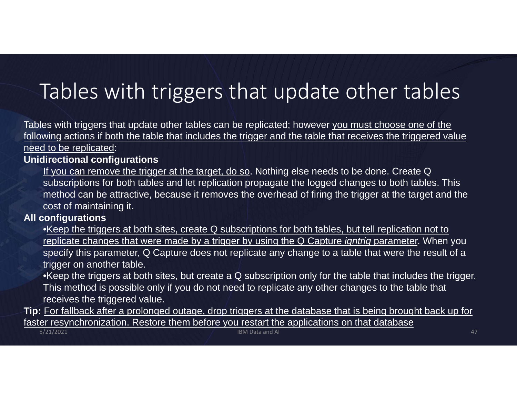# Tables with triggers that update other tables

Tables with triggers that update other tables can be replicated; however you must choose one of the following actions if both the table that includes the trigger and the table that receives the triggered value need to be replicated:

#### **Unidirectional configurations**

If you can remove the trigger at the target, do so. Nothing else needs to be done. Create Q subscriptions for both tables and let replication propagate the logged changes to both tables. This method can be attractive, because it removes the overhead of firing the trigger at the target and the cost of maintaining it.

#### **All configurations**

- •Keep the triggers at both sites, create Q subscriptions for both tables, but tell replication not to replicate changes that were made by a trigger by using the Q Capture *igntrig* parameter. When you specify this parameter, Q Capture does not replicate any change to a table that were the result of a trigger on another table.
- •Keep the triggers at both sites, but create a Q subscription only for the table that includes the trigger. This method is possible only if you do not need to replicate any other changes to the table that receives the triggered value.
- **Tip:** For fallback after a prolonged outage, drop triggers at the database that is being brought back up for faster resynchronization. Restore them before you restart the applications on that database 5/21/2021 IBM Data and AI 47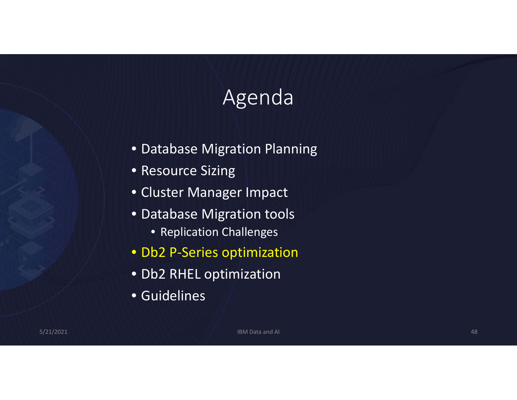# Agenda

- Database Migration Planning
- Resource Sizing
- Cluster Manager Impact
- Database Migration tools
	- Replication Challenges
- Db2 P‐Series optimization
- Db2 RHEL optimization
- Guidelines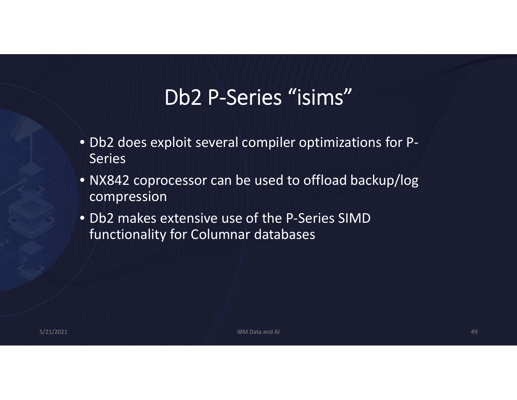# Db2 P‐Series "isims"

- Db2 does exploit several compiler optimizations for P‐ **Series**
- NX842 coprocessor can be used to offload backup/log compression
- Db2 makes extensive use of the P‐Series SIMDfunctionality for Columnar databases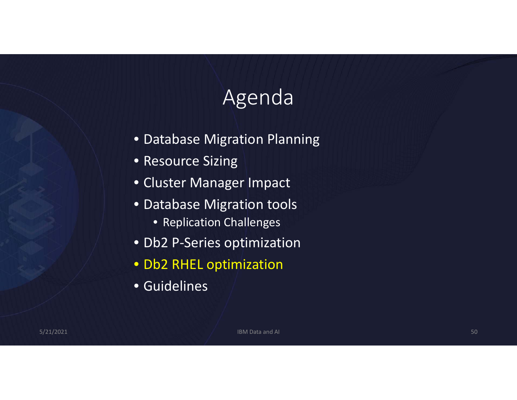# Agenda

- Database Migration Planning
- Resource Sizing
- Cluster Manager Impact
- Database Migration tools
	- Replication Challenges
- Db2 P‐Series optimization
- Db2 RHEL optimization
- Guidelines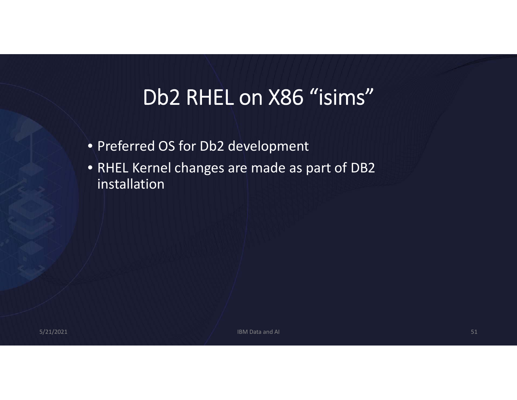# Db2 RHEL on X86 "isims"

- Preferred OS for Db2 development
- RHEL Kernel changes are made as part of DB2 installation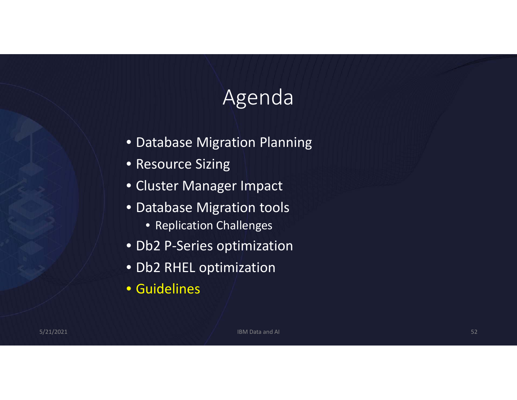# Agenda

- Database Migration Planning
- Resource Sizing
- Cluster Manager Impact
- Database Migration tools
	- Replication Challenges
- Db2 P‐Series optimization
- Db2 RHEL optimization
- Guidelines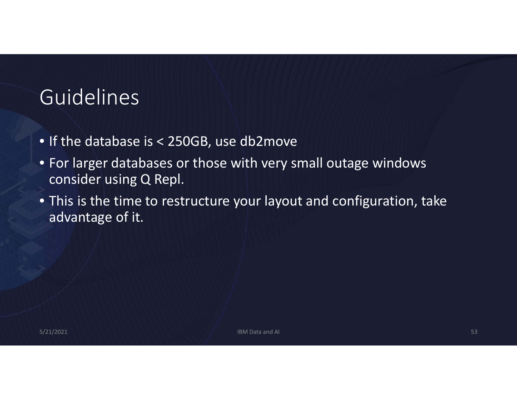### Guidelines

- If the database is <sup>&</sup>lt; 250GB, use db2move
- For larger databases or those with very small outage windows consider using Q Repl.
- This is the time to restructure your layout and configuration, take advantage of it.